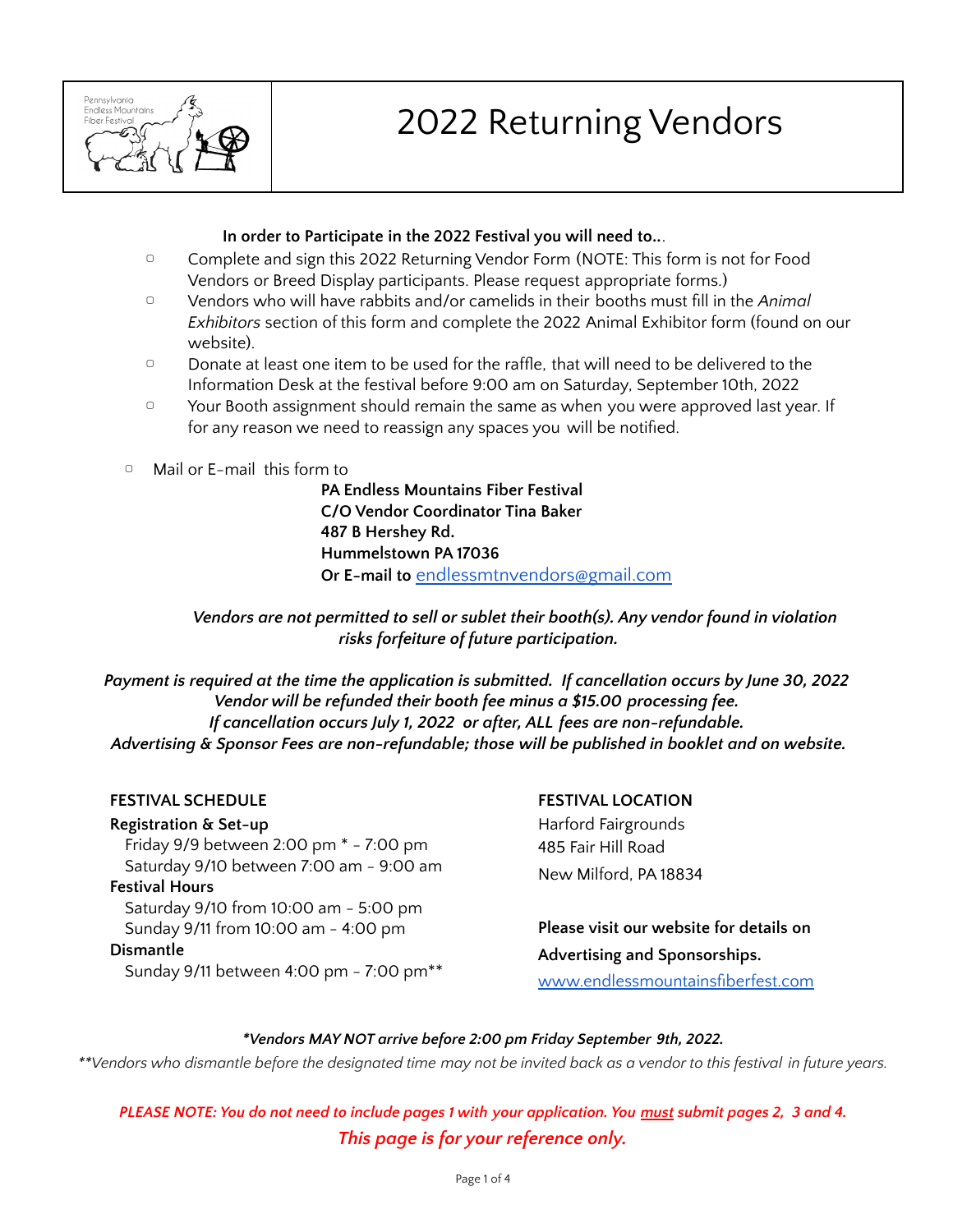

# 2022 Returning Vendors

## **In order to Participate in the 2022 Festival you will need to..**.

- ▢ Complete and sign this 2022 Returning Vendor Form (NOTE: This form is not for Food Vendors or Breed Display participants. Please request appropriate forms.)
- ▢ Vendors who will have rabbits and/or camelids in their booths must fill in the *Animal Exhibitors* section of this form and complete the 2022 Animal Exhibitor form (found on our website).
- □ Donate at least one item to be used for the raffle, that will need to be delivered to the Information Desk at the festival before 9:00 am on Saturday, September 10th, 2022
- □ Your Booth assignment should remain the same as when you were approved last year. If for any reason we need to reassign any spaces you will be notified.
- ▢ Mail or E-mail this form to

**PA Endless Mountains Fiber Festival C/O Vendor Coordinator Tina Baker 487 B Hershey Rd. Hummelstown PA 17036 Or E-mail to** [endlessmtnvendors@gmail.com](mailto:endlessmtnvendors@gmail.com)

*Vendors are not permitted to sell or sublet their booth(s). Any vendor found in violation risks forfeiture of future participation.*

*Payment is required at the time the application is submitted. If cancellation occurs by June 30, 2022 Vendor will be refunded their booth fee minus a \$15.00 processing fee. If cancellation occurs July 1, 2022 or after, ALL fees are non-refundable. Advertising & Sponsor Fees are non-refundable; those will be published in booklet and on website.*

## **FESTIVAL SCHEDULE**

**Registration & Set-up** Friday 9/9 between 2:00 pm \* - 7:00 pm Saturday 9/10 between 7:00 am - 9:00 am **Festival Hours** Saturday 9/10 from 10:00 am - 5:00 pm Sunday 9/11 from 10:00 am - 4:00 pm **Dismantle** Sunday 9/11 between 4:00 pm - 7:00 pm\*\*

# **FESTIVAL LOCATION** Harford Fairgrounds 485 Fair Hill Road New Milford, PA 18834

**Please visit our website for details on Advertising and Sponsorships.** [www.endlessmountainsfiberfest.com](http://www.endlessmountainsfiberfest.com/)

## *\*Vendors MAY NOT arrive before 2:00 pm Friday September 9th, 2022.*

\*\*Vendors who dismantle before the designated time may not be invited back as a vendor to this festival in future years.

PLEASE NOTE: You do not need to include pages 1 with your application. You must submit pages 2, 3 and 4. *This page is for your reference only.*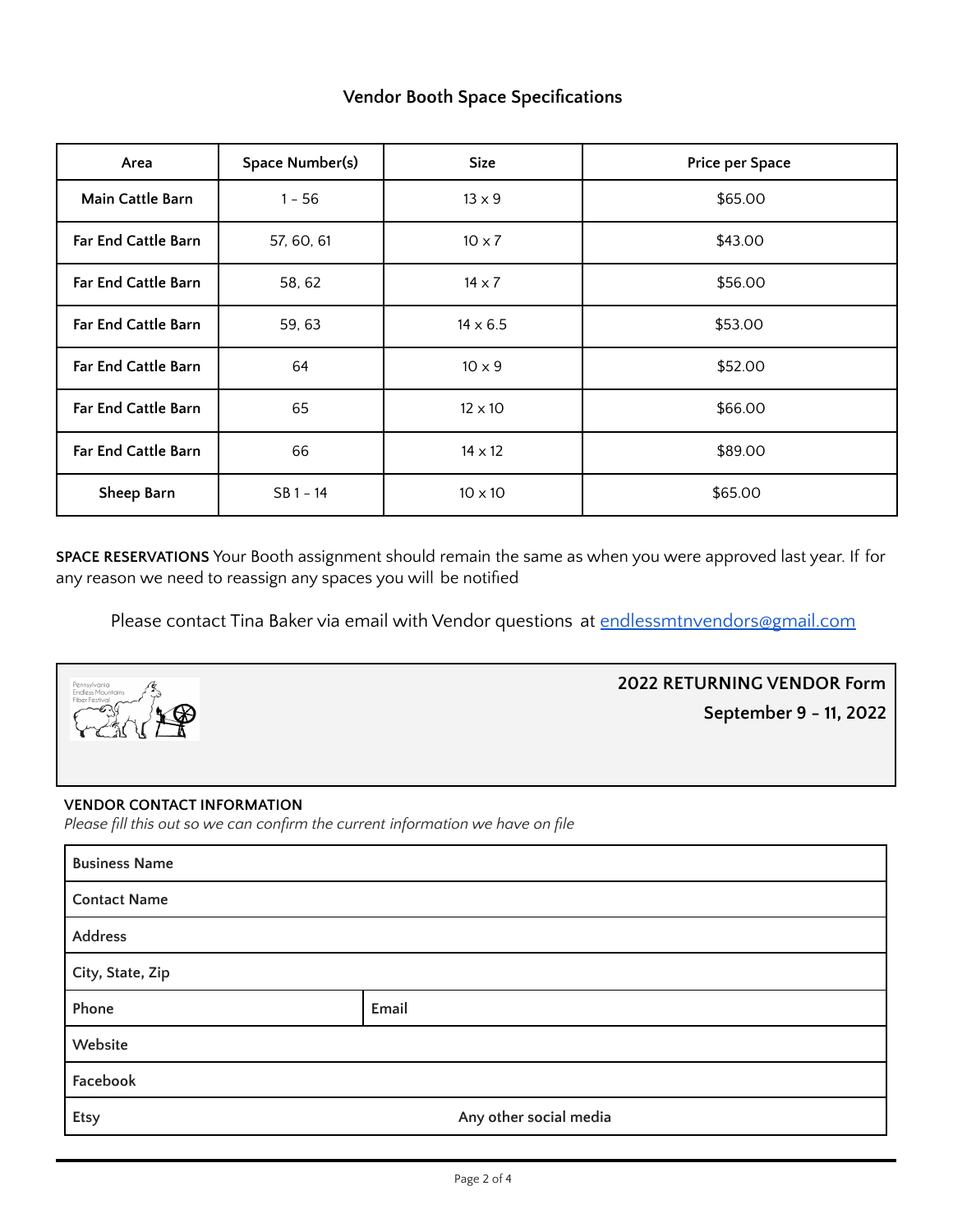# **Vendor Booth Space Specifications**

| Area                       | Space Number(s) | <b>Size</b>     | Price per Space |
|----------------------------|-----------------|-----------------|-----------------|
| Main Cattle Barn           | $1 - 56$        | $13 \times 9$   | \$65.00         |
| <b>Far End Cattle Barn</b> | 57, 60, 61      | $10 \times 7$   | \$43.00         |
| <b>Far End Cattle Barn</b> | 58, 62          | $14 \times 7$   | \$56.00         |
| Far End Cattle Barn        | 59, 63          | $14 \times 6.5$ | \$53.00         |
| <b>Far End Cattle Barn</b> | 64              | $10 \times 9$   | \$52.00         |
| Far End Cattle Barn        | 65              | $12 \times 10$  | \$66.00         |
| Far End Cattle Barn        | 66              | $14 \times 12$  | \$89.00         |
| Sheep Barn                 | $SB 1 - 14$     | $10 \times 10$  | \$65.00         |

**SPACE RESERVATIONS** Your Booth assignment should remain the same as when you were approved last year. If for any reason we need to reassign any spaces you will be notified

Please contact Tina Baker via email with Vendor questions at [endlessmtnvendors@gmail.com](mailto:endlessmtnvendors@gmail.com)



**2022 RETURNING VENDOR Form September 9 - 11, 2022**

### **VENDOR CONTACT INFORMATION**

*Please fill this out so we can confirm the current information we have on file*

| <b>Business Name</b> |                        |  |
|----------------------|------------------------|--|
| <b>Contact Name</b>  |                        |  |
| Address              |                        |  |
| City, State, Zip     |                        |  |
| Phone                | Email                  |  |
| Website              |                        |  |
| Facebook             |                        |  |
| <b>Etsy</b>          | Any other social media |  |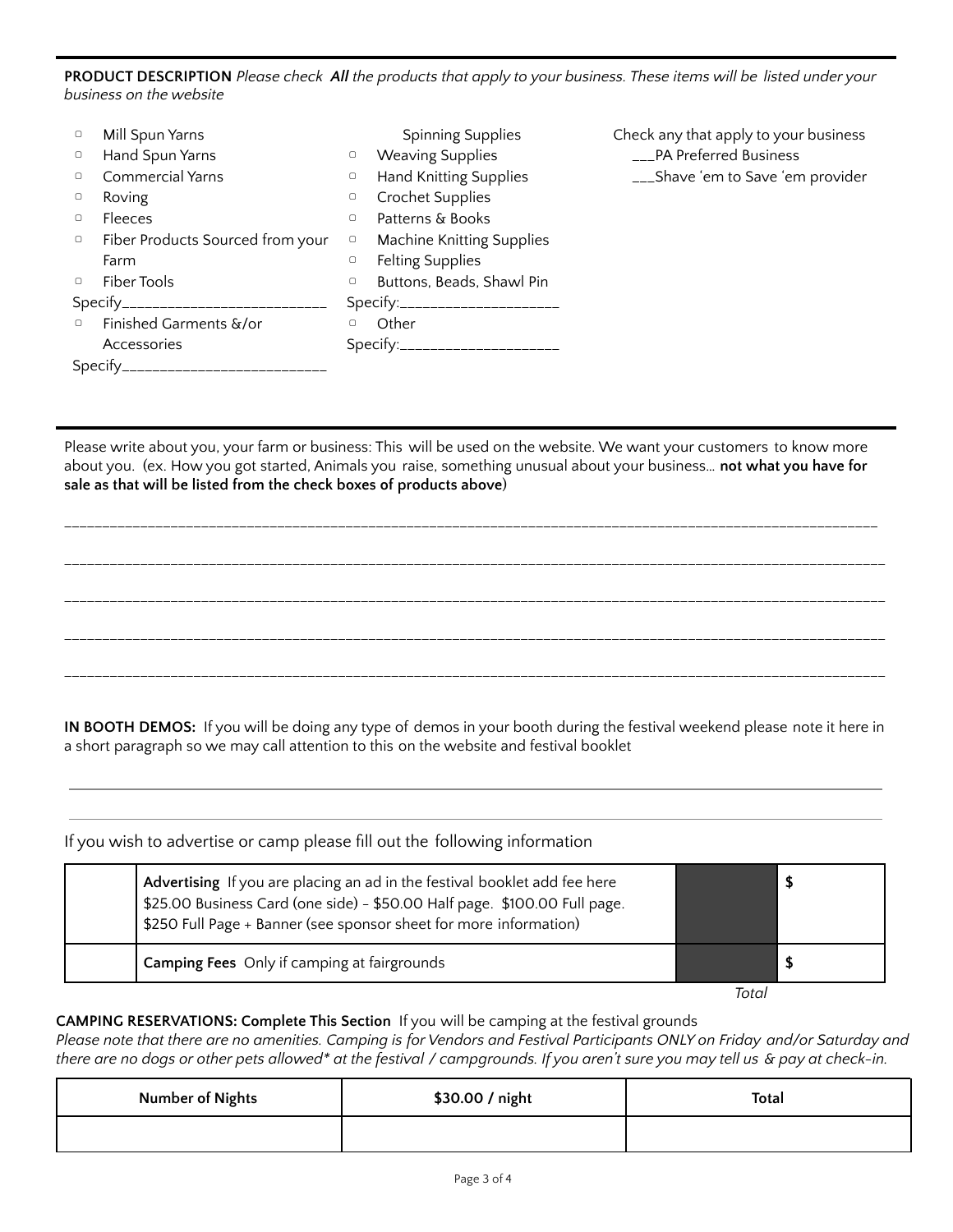PRODUCT DESCRIPTION Please check All the products that apply to your business. These items will be listed under your *business on the website*

| $\Box$                                | Mill Spun Yarns                      |                                 | <b>Spinning Supplies</b>         | Check any that apply to your business |
|---------------------------------------|--------------------------------------|---------------------------------|----------------------------------|---------------------------------------|
| $\circ$                               | Hand Spun Yarns                      | $\hfill\ensuremath{\mathsf{O}}$ | <b>Weaving Supplies</b>          | ___PA Preferred Business              |
| $\Box$                                | Commercial Yarns                     | $\hfill\ensuremath{\mathsf{O}}$ | Hand Knitting Supplies           | ___Shave 'em to Save 'em provider     |
| $\Box$                                | Roving                               | $\hfill\ensuremath{\mathsf{O}}$ | Crochet Supplies                 |                                       |
| $\Box$                                | Fleeces                              | $\circ$                         | Patterns & Books                 |                                       |
| $\Box$                                | Fiber Products Sourced from your     | $\hfill\ensuremath{\mathsf{O}}$ | <b>Machine Knitting Supplies</b> |                                       |
|                                       | Farm                                 | $\hfill\ensuremath{\mathsf{O}}$ | <b>Felting Supplies</b>          |                                       |
| $\Box$                                | Fiber Tools                          | $\hfill\ensuremath{\mathsf{O}}$ | Buttons, Beads, Shawl Pin        |                                       |
| Specify______________________________ |                                      |                                 | Specify:_______________________  |                                       |
| $\Box$                                | Finished Garments &/or               |                                 | Other                            |                                       |
|                                       | Accessories                          |                                 | Specify:______________________   |                                       |
|                                       | Specify_____________________________ |                                 |                                  |                                       |

Please write about you, your farm or business: This will be used on the website. We want your customers to know more about you. (ex. How you got started, Animals you raise, something unusual about your business… **not what you have for sale as that will be listed from the check boxes of products above**)

\_\_\_\_\_\_\_\_\_\_\_\_\_\_\_\_\_\_\_\_\_\_\_\_\_\_\_\_\_\_\_\_\_\_\_\_\_\_\_\_\_\_\_\_\_\_\_\_\_\_\_\_\_\_\_\_\_\_\_\_\_\_\_\_\_\_\_\_\_\_\_\_\_\_\_\_\_\_\_\_\_\_\_\_\_\_\_\_\_\_\_\_\_\_\_\_\_\_\_\_\_\_\_\_\_\_\_

\_\_\_\_\_\_\_\_\_\_\_\_\_\_\_\_\_\_\_\_\_\_\_\_\_\_\_\_\_\_\_\_\_\_\_\_\_\_\_\_\_\_\_\_\_\_\_\_\_\_\_\_\_\_\_\_\_\_\_\_\_\_\_\_\_\_\_\_\_\_\_\_\_\_\_\_\_\_\_\_\_\_\_\_\_\_\_\_\_\_\_\_\_\_\_\_\_\_\_\_\_\_\_\_\_\_\_\_

\_\_\_\_\_\_\_\_\_\_\_\_\_\_\_\_\_\_\_\_\_\_\_\_\_\_\_\_\_\_\_\_\_\_\_\_\_\_\_\_\_\_\_\_\_\_\_\_\_\_\_\_\_\_\_\_\_\_\_\_\_\_\_\_\_\_\_\_\_\_\_\_\_\_\_\_\_\_\_\_\_\_\_\_\_\_\_\_\_\_\_\_\_\_\_\_\_\_\_\_\_\_\_\_\_\_\_\_

\_\_\_\_\_\_\_\_\_\_\_\_\_\_\_\_\_\_\_\_\_\_\_\_\_\_\_\_\_\_\_\_\_\_\_\_\_\_\_\_\_\_\_\_\_\_\_\_\_\_\_\_\_\_\_\_\_\_\_\_\_\_\_\_\_\_\_\_\_\_\_\_\_\_\_\_\_\_\_\_\_\_\_\_\_\_\_\_\_\_\_\_\_\_\_\_\_\_\_\_\_\_\_\_\_\_\_\_

\_\_\_\_\_\_\_\_\_\_\_\_\_\_\_\_\_\_\_\_\_\_\_\_\_\_\_\_\_\_\_\_\_\_\_\_\_\_\_\_\_\_\_\_\_\_\_\_\_\_\_\_\_\_\_\_\_\_\_\_\_\_\_\_\_\_\_\_\_\_\_\_\_\_\_\_\_\_\_\_\_\_\_\_\_\_\_\_\_\_\_\_\_\_\_\_\_\_\_\_\_\_\_\_\_\_\_\_

**IN BOOTH DEMOS:** If you will be doing any type of demos in your booth during the festival weekend please note it here in a short paragraph so we may call attention to this on the website and festival booklet

If you wish to advertise or camp please fill out the following information

| Advertising If you are placing an ad in the festival booklet add fee here<br>\$25.00 Business Card (one side) - \$50.00 Half page. \$100.00 Full page.<br>\$250 Full Page + Banner (see sponsor sheet for more information) |      |  |
|-----------------------------------------------------------------------------------------------------------------------------------------------------------------------------------------------------------------------------|------|--|
| Camping Fees Only if camping at fairgrounds                                                                                                                                                                                 |      |  |
|                                                                                                                                                                                                                             | Tota |  |

### **CAMPING RESERVATIONS: Complete This Section** If you will be camping at the festival grounds

Please note that there are no amenities. Camping is for Vendors and Festival Participants ONLY on Friday and/or Saturday and there are no dogs or other pets allowed\* at the festival / campgrounds. If you aren't sure you may tell us & pay at check-in.

| <b>Number of Nights</b> | \$30.00 / night | <b>Total</b> |
|-------------------------|-----------------|--------------|
|                         |                 |              |